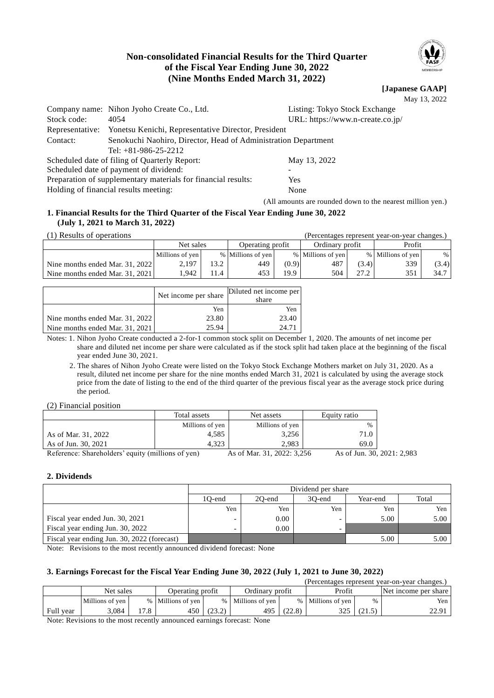# **Non-consolidated Financial Results for the Third Quarter of the Fiscal Year Ending June 30, 2022 (Nine Months Ended March 31, 2022)**

**[Japanese GAAP]** May 13, 2022

|                                                                            | Company name: Nihon Jyoho Create Co., Ltd.                    | Listing: Tokyo Stock Exchange                              |  |  |  |  |
|----------------------------------------------------------------------------|---------------------------------------------------------------|------------------------------------------------------------|--|--|--|--|
| Stock code:                                                                | 4054                                                          | URL: https://www.n-create.co.jp/                           |  |  |  |  |
| Representative:                                                            | Yonetsu Kenichi, Representative Director, President           |                                                            |  |  |  |  |
| Senokuchi Naohiro, Director, Head of Administration Department<br>Contact: |                                                               |                                                            |  |  |  |  |
|                                                                            | Tel: $+81-986-25-2212$                                        |                                                            |  |  |  |  |
|                                                                            | Scheduled date of filing of Quarterly Report:                 | May 13, 2022                                               |  |  |  |  |
|                                                                            | Scheduled date of payment of dividend:                        |                                                            |  |  |  |  |
|                                                                            | Preparation of supplementary materials for financial results: | Yes                                                        |  |  |  |  |
|                                                                            | Holding of financial results meeting:                         | None                                                       |  |  |  |  |
|                                                                            |                                                               | (All amounts are rounded down to the nearest million yen.) |  |  |  |  |

### **1. Financial Results for the Third Quarter of the Fiscal Year Ending June 30, 2022 (July 1, 2021 to March 31, 2022)**

| (1) Results of operations       |                 |      |                   |                   |                   |       | (Percentages represent year-on-year changes.) |       |
|---------------------------------|-----------------|------|-------------------|-------------------|-------------------|-------|-----------------------------------------------|-------|
|                                 | Net sales       |      | Operating profit  |                   | Ordinary profit   |       | Profit                                        |       |
|                                 | Millions of yen |      | % Millions of yen |                   | % Millions of yen |       | % Millions of yen                             | %     |
| Nine months ended Mar. 31, 2022 | 2.197           | 13.2 | 449               | (0.9)             | 487               | (3.4) | 339                                           | (3.4) |
| Nine months ended Mar. 31, 2021 | .942            | .1.4 | 453               | 19.9 <sub>1</sub> | 504               | 27.2  | 351                                           | 34.7  |

|                                 | Net income per share | Diluted net income per<br>share |  |
|---------------------------------|----------------------|---------------------------------|--|
|                                 | Yen                  | Yen                             |  |
| Nine months ended Mar. 31, 2022 | 23.80                | 23.40                           |  |
| Nine months ended Mar. 31, 2021 | 25.94                | 24.7                            |  |

Notes: 1. Nihon Jyoho Create conducted a 2-for-1 common stock split on December 1, 2020. The amounts of net income per share and diluted net income per share were calculated as if the stock split had taken place at the beginning of the fiscal year ended June 30, 2021.

2. The shares of Nihon Jyoho Create were listed on the Tokyo Stock Exchange Mothers market on July 31, 2020. As a result, diluted net income per share for the nine months ended March 31, 2021 is calculated by using the average stock price from the date of listing to the end of the third quarter of the previous fiscal year as the average stock price during the period.

(2) Financial position

|                                                   | Total assets    | Net assets                 | Equity ratio               |  |
|---------------------------------------------------|-----------------|----------------------------|----------------------------|--|
|                                                   | Millions of yen | Millions of yen            | $\%$                       |  |
| As of Mar. 31, 2022                               | 4.585           | 3,256                      | 71.0                       |  |
| As of Jun. 30, 2021                               | 4.323           | 2.983                      | 69.0                       |  |
| Reference: Shareholders' equity (millions of yen) |                 | As of Mar. 31, 2022: 3,256 | As of Jun. 30, 2021: 2,983 |  |

### **2. Dividends**

|                                             |        | Dividend per share |                          |          |       |  |  |  |
|---------------------------------------------|--------|--------------------|--------------------------|----------|-------|--|--|--|
|                                             | 1O-end | 20-end             | 30-end                   | Year-end | Total |  |  |  |
|                                             | Yen    | Yen                | Yen                      | Yen      | Yen   |  |  |  |
| Fiscal year ended Jun. 30, 2021             |        | 0.00               | $\overline{\phantom{0}}$ | 5.00     | 5.00  |  |  |  |
| Fiscal year ending Jun. 30, 2022            | -      | 0.00               | $\overline{\phantom{0}}$ |          |       |  |  |  |
| Fiscal year ending Jun. 30, 2022 (forecast) |        |                    |                          | 5.00     | 5.00  |  |  |  |

Note: Revisions to the most recently announced dividend forecast: None

### **3. Earnings Forecast for the Fiscal Year Ending June 30, 2022 (July 1, 2021 to June 30, 2022)**

| (Percentages represent year-on-year changes.) |                 |      |                   |        |                     |        |                   |        |                      |
|-----------------------------------------------|-----------------|------|-------------------|--------|---------------------|--------|-------------------|--------|----------------------|
|                                               | Net sales       |      | Operating profit  |        | Ordinary profit     |        | Profit            |        | Net income per share |
|                                               | Millions of yen |      | % Millions of yen |        | %   Millions of ven |        | % Millions of yen | $\%$   | Yen                  |
| Full year                                     | 3.084           | .7.8 | 450 '             | (23.2) | 495                 | (22.8) | ر ے ر             | (21.5) | 22.91                |

Note: Revisions to the most recently announced earnings forecast: None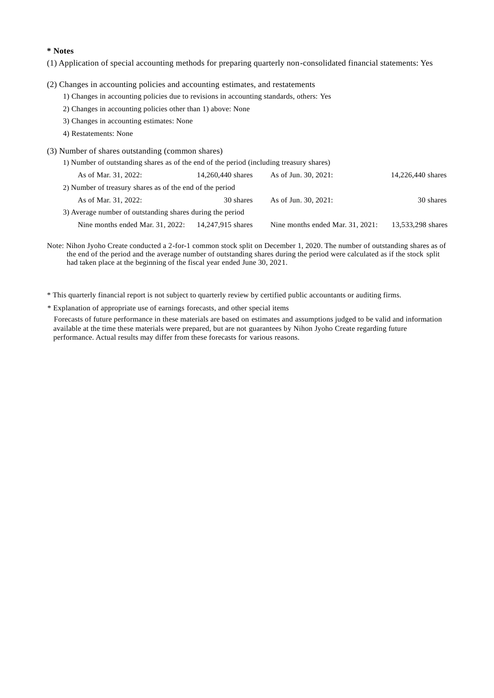### **\* Notes**

(1) Application of special accounting methods for preparing quarterly non-consolidated financial statements: Yes

- (2) Changes in accounting policies and accounting estimates, and restatements
	- 1) Changes in accounting policies due to revisions in accounting standards, others: Yes
	- 2) Changes in accounting policies other than 1) above: None
	- 3) Changes in accounting estimates: None
	- 4) Restatements: None
- (3) Number of shares outstanding (common shares)

| 1) Number of outstanding shares as of the end of the period (including treasury shares) |                   |                                  |                   |
|-----------------------------------------------------------------------------------------|-------------------|----------------------------------|-------------------|
| As of Mar. 31, 2022:                                                                    | 14,260,440 shares | As of Jun. 30, 2021:             | 14,226,440 shares |
| 2) Number of treasury shares as of the end of the period                                |                   |                                  |                   |
| As of Mar. 31, 2022:                                                                    | 30 shares         | As of Jun. 30, 2021:             | 30 shares         |
| 3) Average number of outstanding shares during the period                               |                   |                                  |                   |
| Nine months ended Mar. 31, 2022:                                                        | 14,247,915 shares | Nine months ended Mar. 31, 2021: | 13,533,298 shares |

Note: Nihon Jyoho Create conducted a 2-for-1 common stock split on December 1, 2020. The number of outstanding shares as of the end of the period and the average number of outstanding shares during the period were calculated as if the stock split had taken place at the beginning of the fiscal year ended June 30, 2021.

\* This quarterly financial report is not subject to quarterly review by certified public accountants or auditing firms.

\* Explanation of appropriate use of earnings forecasts, and other special items

Forecasts of future performance in these materials are based on estimates and assumptions judged to be valid and information available at the time these materials were prepared, but are not guarantees by Nihon Jyoho Create regarding future performance. Actual results may differ from these forecasts for various reasons.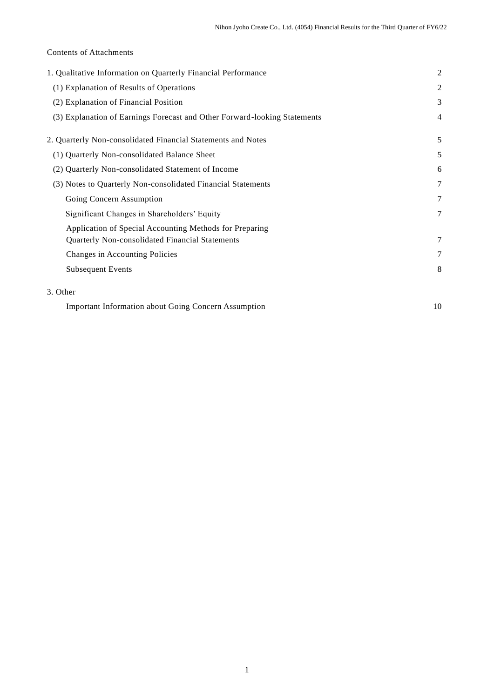# Contents of Attachments

| 1. Qualitative Information on Quarterly Financial Performance                                              | $\mathfrak{2}$ |
|------------------------------------------------------------------------------------------------------------|----------------|
| (1) Explanation of Results of Operations                                                                   | $\mathfrak{2}$ |
| (2) Explanation of Financial Position                                                                      | 3              |
| (3) Explanation of Earnings Forecast and Other Forward-looking Statements                                  | 4              |
| 2. Quarterly Non-consolidated Financial Statements and Notes                                               | 5              |
| (1) Quarterly Non-consolidated Balance Sheet                                                               | 5              |
| (2) Quarterly Non-consolidated Statement of Income                                                         | 6              |
| (3) Notes to Quarterly Non-consolidated Financial Statements                                               | $\tau$         |
| Going Concern Assumption                                                                                   | $\tau$         |
| Significant Changes in Shareholders' Equity                                                                | 7              |
| Application of Special Accounting Methods for Preparing<br>Quarterly Non-consolidated Financial Statements | 7              |
| Changes in Accounting Policies                                                                             | $\tau$         |
| <b>Subsequent Events</b>                                                                                   | 8              |
| 3. Other                                                                                                   |                |

Important Information about Going Concern Assumption 10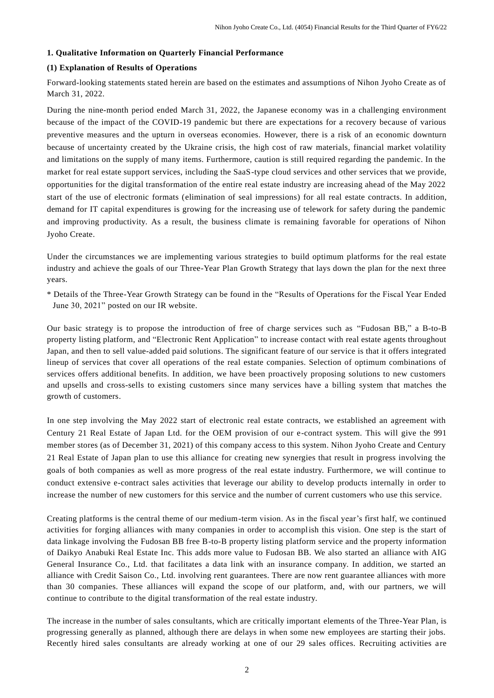### **1. Qualitative Information on Quarterly Financial Performance**

### **(1) Explanation of Results of Operations**

Forward-looking statements stated herein are based on the estimates and assumptions of Nihon Jyoho Create as of March 31, 2022.

During the nine-month period ended March 31, 2022, the Japanese economy was in a challenging environment because of the impact of the COVID-19 pandemic but there are expectations for a recovery because of various preventive measures and the upturn in overseas economies. However, there is a risk of an economic downturn because of uncertainty created by the Ukraine crisis, the high cost of raw materials, financial market volatility and limitations on the supply of many items. Furthermore, caution is still required regarding the pandemic. In the market for real estate support services, including the SaaS-type cloud services and other services that we provide, opportunities for the digital transformation of the entire real estate industry are increasing ahead of the May 2022 start of the use of electronic formats (elimination of seal impressions) for all real estate contracts. In addition, demand for IT capital expenditures is growing for the increasing use of telework for safety during the pandemic and improving productivity. As a result, the business climate is remaining favorable for operations of Nihon Jyoho Create.

Under the circumstances we are implementing various strategies to build optimum platforms for the real estate industry and achieve the goals of our Three-Year Plan Growth Strategy that lays down the plan for the next three years.

\* Details of the Three-Year Growth Strategy can be found in the "Results of Operations for the Fiscal Year Ended June 30, 2021" posted on our IR website.

Our basic strategy is to propose the introduction of free of charge services such as "Fudosan BB," a B-to-B property listing platform, and "Electronic Rent Application" to increase contact with real estate agents throughout Japan, and then to sell value-added paid solutions. The significant feature of our service is that it offers integrated lineup of services that cover all operations of the real estate companies. Selection of optimum combinations of services offers additional benefits. In addition, we have been proactively proposing solutions to new customers and upsells and cross-sells to existing customers since many services have a billing system that matches the growth of customers.

In one step involving the May 2022 start of electronic real estate contracts, we established an agreement with Century 21 Real Estate of Japan Ltd. for the OEM provision of our e-contract system. This will give the 991 member stores (as of December 31, 2021) of this company access to this system. Nihon Jyoho Create and Century 21 Real Estate of Japan plan to use this alliance for creating new synergies that result in progress involving the goals of both companies as well as more progress of the real estate industry. Furthermore, we will continue to conduct extensive e-contract sales activities that leverage our ability to develop products internally in order to increase the number of new customers for this service and the number of current customers who use this service.

Creating platforms is the central theme of our medium-term vision. As in the fiscal year's first half, we continued activities for forging alliances with many companies in order to accomplish this vision. One step is the start of data linkage involving the Fudosan BB free B-to-B property listing platform service and the property information of Daikyo Anabuki Real Estate Inc. This adds more value to Fudosan BB. We also started an alliance with AIG General Insurance Co., Ltd. that facilitates a data link with an insurance company. In addition, we started an alliance with Credit Saison Co., Ltd. involving rent guarantees. There are now rent guarantee alliances with more than 30 companies. These alliances will expand the scope of our platform, and, with our partners, we will continue to contribute to the digital transformation of the real estate industry.

The increase in the number of sales consultants, which are critically important elements of the Three-Year Plan, is progressing generally as planned, although there are delays in when some new employees are starting their jobs. Recently hired sales consultants are already working at one of our 29 sales offices. Recruiting activities are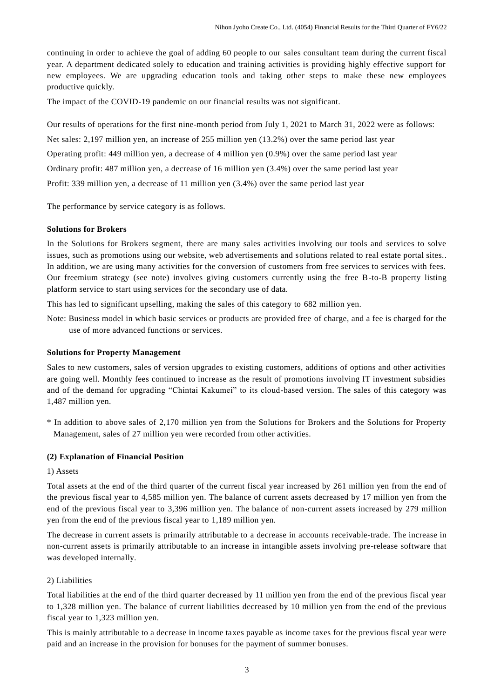continuing in order to achieve the goal of adding 60 people to our sales consultant team during the current fiscal year. A department dedicated solely to education and training activities is providing highly effective support for new employees. We are upgrading education tools and taking other steps to make these new employees productive quickly.

The impact of the COVID-19 pandemic on our financial results was not significant.

Our results of operations for the first nine-month period from July 1, 2021 to March 31, 2022 were as follows: Net sales: 2,197 million yen, an increase of 255 million yen (13.2%) over the same period last year Operating profit: 449 million yen, a decrease of 4 million yen (0.9%) over the same period last year Ordinary profit: 487 million yen, a decrease of 16 million yen (3.4%) over the same period last year Profit: 339 million yen, a decrease of 11 million yen (3.4%) over the same period last year

The performance by service category is as follows.

### **Solutions for Brokers**

In the Solutions for Brokers segment, there are many sales activities involving our tools and services to solve issues, such as promotions using our website, web advertisements and solutions related to real estate portal sites.. In addition, we are using many activities for the conversion of customers from free services to services with fees. Our freemium strategy (see note) involves giving customers currently using the free B-to-B property listing platform service to start using services for the secondary use of data.

This has led to significant upselling, making the sales of this category to 682 million yen.

Note: Business model in which basic services or products are provided free of charge, and a fee is charged for the use of more advanced functions or services.

### **Solutions for Property Management**

Sales to new customers, sales of version upgrades to existing customers, additions of options and other activities are going well. Monthly fees continued to increase as the result of promotions involving IT investment subsidies and of the demand for upgrading "Chintai Kakumei" to its cloud-based version. The sales of this category was 1,487 million yen.

\* In addition to above sales of 2,170 million yen from the Solutions for Brokers and the Solutions for Property Management, sales of 27 million yen were recorded from other activities.

### **(2) Explanation of Financial Position**

### 1) Assets

Total assets at the end of the third quarter of the current fiscal year increased by 261 million yen from the end of the previous fiscal year to 4,585 million yen. The balance of current assets decreased by 17 million yen from the end of the previous fiscal year to 3,396 million yen. The balance of non-current assets increased by 279 million yen from the end of the previous fiscal year to 1,189 million yen.

The decrease in current assets is primarily attributable to a decrease in accounts receivable-trade. The increase in non-current assets is primarily attributable to an increase in intangible assets involving pre-release software that was developed internally.

### 2) Liabilities

Total liabilities at the end of the third quarter decreased by 11 million yen from the end of the previous fiscal year to 1,328 million yen. The balance of current liabilities decreased by 10 million yen from the end of the previous fiscal year to 1,323 million yen.

This is mainly attributable to a decrease in income taxes payable as income taxes for the previous fiscal year were paid and an increase in the provision for bonuses for the payment of summer bonuses.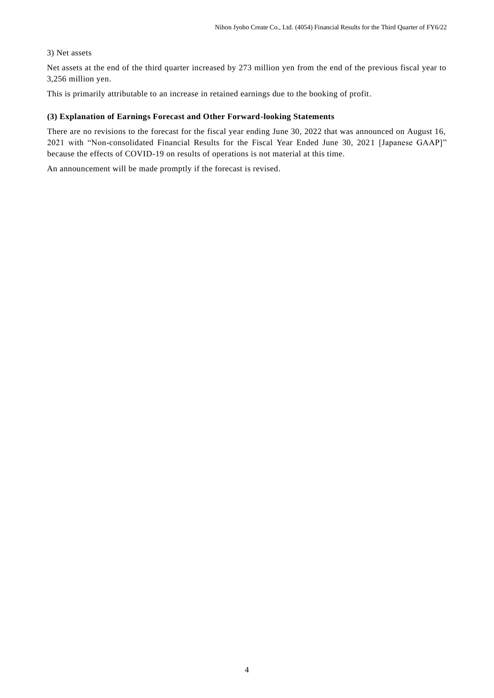### 3) Net assets

Net assets at the end of the third quarter increased by 273 million yen from the end of the previous fiscal year to 3,256 million yen.

This is primarily attributable to an increase in retained earnings due to the booking of profit.

### **(3) Explanation of Earnings Forecast and Other Forward-looking Statements**

There are no revisions to the forecast for the fiscal year ending June 30, 2022 that was announced on August 16, 2021 with "Non-consolidated Financial Results for the Fiscal Year Ended June 30, 2021 [Japanese GAAP]" because the effects of COVID-19 on results of operations is not material at this time.

An announcement will be made promptly if the forecast is revised.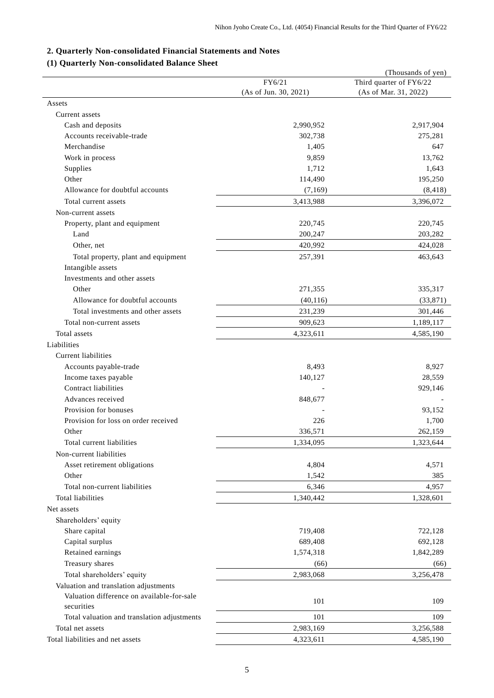# **2. Quarterly Non-consolidated Financial Statements and Notes**

# **(1) Quarterly Non-consolidated Balance Sheet**

| Quarterly Ton-consolidated Dalance          | FY6/21<br>(As of Jun. 30, 2021) | (Thousands of yen)<br>Third quarter of FY6/22<br>(As of Mar. 31, 2022) |
|---------------------------------------------|---------------------------------|------------------------------------------------------------------------|
| Assets                                      |                                 |                                                                        |
| Current assets                              |                                 |                                                                        |
| Cash and deposits                           | 2,990,952                       | 2,917,904                                                              |
| Accounts receivable-trade                   | 302,738                         | 275,281                                                                |
| Merchandise                                 | 1,405                           | 647                                                                    |
| Work in process                             | 9,859                           | 13,762                                                                 |
| Supplies                                    | 1,712                           | 1,643                                                                  |
| Other                                       | 114,490                         | 195,250                                                                |
| Allowance for doubtful accounts             | (7,169)                         | (8, 418)                                                               |
| Total current assets                        | 3,413,988                       | 3,396,072                                                              |
| Non-current assets                          |                                 |                                                                        |
| Property, plant and equipment               | 220,745                         | 220,745                                                                |
| Land                                        | 200,247                         | 203,282                                                                |
| Other, net                                  | 420,992                         | 424,028                                                                |
| Total property, plant and equipment         | 257,391                         | 463,643                                                                |
| Intangible assets                           |                                 |                                                                        |
| Investments and other assets                |                                 |                                                                        |
| Other                                       | 271,355                         | 335,317                                                                |
| Allowance for doubtful accounts             | (40, 116)                       | (33,871)                                                               |
| Total investments and other assets          | 231,239                         | 301,446                                                                |
|                                             |                                 |                                                                        |
| Total non-current assets                    | 909,623                         | 1,189,117                                                              |
| Total assets                                | 4,323,611                       | 4,585,190                                                              |
| Liabilities                                 |                                 |                                                                        |
| Current liabilities                         |                                 |                                                                        |
| Accounts payable-trade                      | 8,493                           | 8,927                                                                  |
| Income taxes payable                        | 140,127                         | 28,559                                                                 |
| Contract liabilities                        |                                 | 929,146                                                                |
| Advances received                           | 848,677                         |                                                                        |
| Provision for bonuses                       |                                 | 93,152                                                                 |
| Provision for loss on order received        | 226                             | 1,700                                                                  |
| Other                                       | 336,571                         | 262,159                                                                |
| Total current liabilities                   | 1,334,095                       | 1,323,644                                                              |
| Non-current liabilities                     |                                 |                                                                        |
| Asset retirement obligations                | 4,804                           | 4,571                                                                  |
| Other                                       | 1,542                           | 385                                                                    |
| Total non-current liabilities               | 6,346                           | 4,957                                                                  |
| Total liabilities                           | 1,340,442                       | 1,328,601                                                              |
| Net assets                                  |                                 |                                                                        |
| Shareholders' equity                        |                                 |                                                                        |
| Share capital                               | 719,408                         | 722,128                                                                |
| Capital surplus                             | 689,408                         | 692,128                                                                |
| Retained earnings                           | 1,574,318                       | 1,842,289                                                              |
| Treasury shares                             | (66)                            | (66)                                                                   |
| Total shareholders' equity                  | 2,983,068                       | 3,256,478                                                              |
| Valuation and translation adjustments       |                                 |                                                                        |
| Valuation difference on available-for-sale  | 101                             | 109                                                                    |
| securities                                  |                                 |                                                                        |
| Total valuation and translation adjustments | 101                             | 109                                                                    |
| Total net assets                            | 2,983,169                       | 3,256,588                                                              |
| Total liabilities and net assets            | 4,323,611                       | 4,585,190                                                              |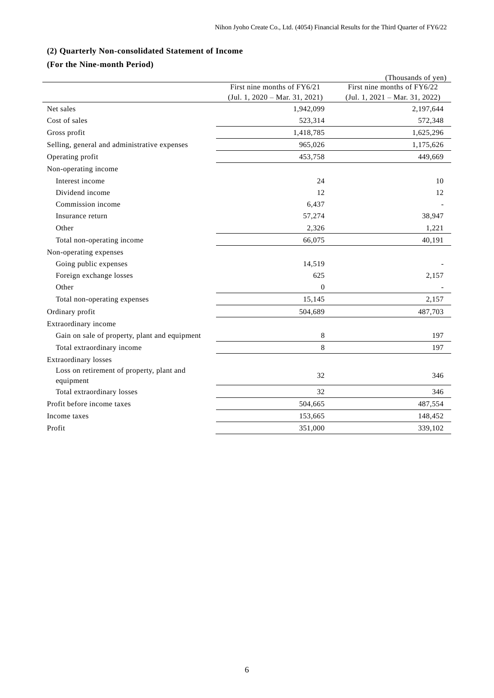# **(2) Quarterly Non-consolidated Statement of Income**

# **(For the Nine-month Period)**

|                                               |                                  | (Thousands of yen)               |
|-----------------------------------------------|----------------------------------|----------------------------------|
|                                               | First nine months of FY6/21      | First nine months of FY6/22      |
|                                               | $(Jul. 1, 2020 - Mar. 31, 2021)$ | $(Jul. 1, 2021 - Mar. 31, 2022)$ |
| Net sales                                     | 1,942,099                        | 2,197,644                        |
| Cost of sales                                 | 523,314                          | 572,348                          |
| Gross profit                                  | 1,418,785                        | 1,625,296                        |
| Selling, general and administrative expenses  | 965,026                          | 1,175,626                        |
| Operating profit                              | 453,758                          | 449,669                          |
| Non-operating income                          |                                  |                                  |
| Interest income                               | 24                               | 10                               |
| Dividend income                               | 12                               | 12                               |
| Commission income                             | 6,437                            |                                  |
| Insurance return                              | 57,274                           | 38,947                           |
| Other                                         | 2,326                            | 1,221                            |
| Total non-operating income                    | 66,075                           | 40,191                           |
| Non-operating expenses                        |                                  |                                  |
| Going public expenses                         | 14,519                           |                                  |
| Foreign exchange losses                       | 625                              | 2,157                            |
| Other                                         | 0                                |                                  |
| Total non-operating expenses                  | 15,145                           | 2,157                            |
| Ordinary profit                               | 504,689                          | 487,703                          |
| Extraordinary income                          |                                  |                                  |
| Gain on sale of property, plant and equipment | 8                                | 197                              |
| Total extraordinary income                    | 8                                | 197                              |
| Extraordinary losses                          |                                  |                                  |
| Loss on retirement of property, plant and     | 32                               | 346                              |
| equipment<br>Total extraordinary losses       | 32                               | 346                              |
|                                               |                                  |                                  |
| Profit before income taxes                    | 504,665                          | 487,554                          |
| Income taxes                                  | 153,665                          | 148,452                          |
| Profit                                        | 351,000                          | 339,102                          |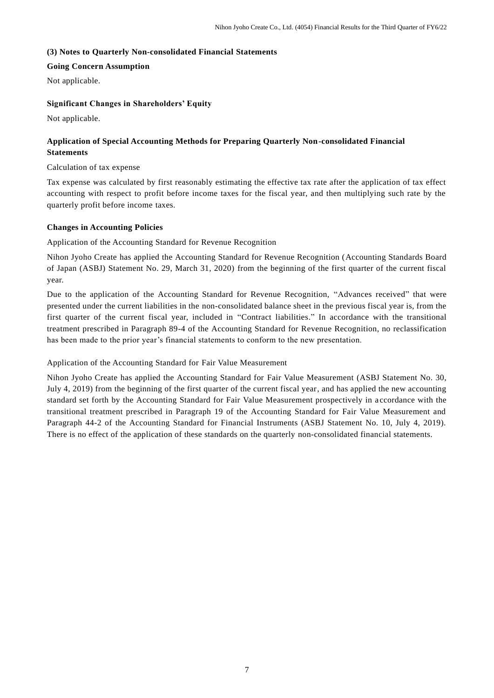### **(3) Notes to Quarterly Non-consolidated Financial Statements**

### **Going Concern Assumption**

Not applicable.

### **Significant Changes in Shareholders' Equity**

Not applicable.

# **Application of Special Accounting Methods for Preparing Quarterly Non-consolidated Financial Statements**

Calculation of tax expense

Tax expense was calculated by first reasonably estimating the effective tax rate after the application of tax effect accounting with respect to profit before income taxes for the fiscal year, and then multiplying such rate by the quarterly profit before income taxes.

### **Changes in Accounting Policies**

Application of the Accounting Standard for Revenue Recognition

Nihon Jyoho Create has applied the Accounting Standard for Revenue Recognition (Accounting Standards Board of Japan (ASBJ) Statement No. 29, March 31, 2020) from the beginning of the first quarter of the current fiscal year.

Due to the application of the Accounting Standard for Revenue Recognition, "Advances received" that were presented under the current liabilities in the non-consolidated balance sheet in the previous fiscal year is, from the first quarter of the current fiscal year, included in "Contract liabilities." In accordance with the transitional treatment prescribed in Paragraph 89-4 of the Accounting Standard for Revenue Recognition, no reclassification has been made to the prior year's financial statements to conform to the new presentation.

### Application of the Accounting Standard for Fair Value Measurement

Nihon Jyoho Create has applied the Accounting Standard for Fair Value Measurement (ASBJ Statement No. 30, July 4, 2019) from the beginning of the first quarter of the current fiscal year, and has applied the new accounting standard set forth by the Accounting Standard for Fair Value Measurement prospectively in a ccordance with the transitional treatment prescribed in Paragraph 19 of the Accounting Standard for Fair Value Measurement and Paragraph 44-2 of the Accounting Standard for Financial Instruments (ASBJ Statement No. 10, July 4, 2019). There is no effect of the application of these standards on the quarterly non-consolidated financial statements.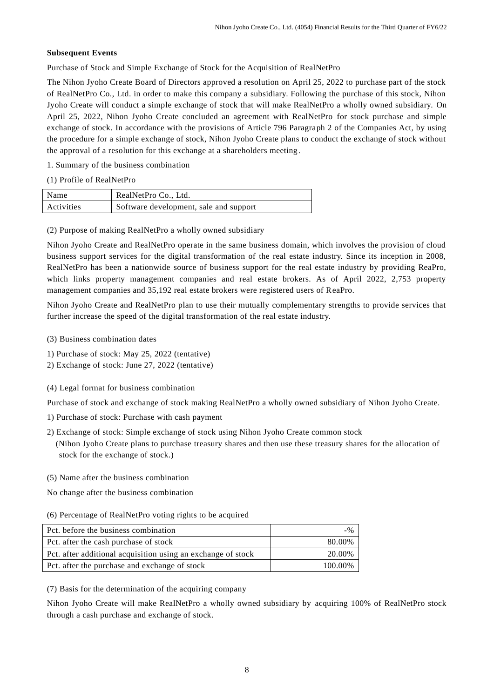### **Subsequent Events**

Purchase of Stock and Simple Exchange of Stock for the Acquisition of RealNetPro

The Nihon Jyoho Create Board of Directors approved a resolution on April 25, 2022 to purchase part of the stock of RealNetPro Co., Ltd. in order to make this company a subsidiary. Following the purchase of this stock, Nihon Jyoho Create will conduct a simple exchange of stock that will make RealNetPro a wholly owned subsidiary. On April 25, 2022, Nihon Jyoho Create concluded an agreement with RealNetPro for stock purchase and simple exchange of stock. In accordance with the provisions of Article 796 Paragraph 2 of the Companies Act, by using the procedure for a simple exchange of stock, Nihon Jyoho Create plans to conduct the exchange of stock without the approval of a resolution for this exchange at a shareholders meeting.

1. Summary of the business combination

(1) Profile of RealNetPro

| Name       | RealNetPro Co., Ltd.                   |
|------------|----------------------------------------|
| Activities | Software development, sale and support |

(2) Purpose of making RealNetPro a wholly owned subsidiary

Nihon Jyoho Create and RealNetPro operate in the same business domain, which involves the provision of cloud business support services for the digital transformation of the real estate industry. Since its inception in 2008, RealNetPro has been a nationwide source of business support for the real estate industry by providing ReaPro, which links property management companies and real estate brokers. As of April 2022, 2,753 property management companies and 35,192 real estate brokers were registered users of ReaPro.

Nihon Jyoho Create and RealNetPro plan to use their mutually complementary strengths to provide services that further increase the speed of the digital transformation of the real estate industry.

- (3) Business combination dates
- 1) Purchase of stock: May 25, 2022 (tentative)
- 2) Exchange of stock: June 27, 2022 (tentative)
- (4) Legal format for business combination

Purchase of stock and exchange of stock making RealNetPro a wholly owned subsidiary of Nihon Jyoho Create.

- 1) Purchase of stock: Purchase with cash payment
- 2) Exchange of stock: Simple exchange of stock using Nihon Jyoho Create common stock (Nihon Jyoho Create plans to purchase treasury shares and then use these treasury shares for the allocation of stock for the exchange of stock.)
- (5) Name after the business combination
- No change after the business combination
- (6) Percentage of RealNetPro voting rights to be acquired

| Pct, before the business combination                         | $-9/2$  |
|--------------------------------------------------------------|---------|
| Pct. after the cash purchase of stock                        | 80.00%  |
| Pct. after additional acquisition using an exchange of stock | 20.00%  |
| Pct. after the purchase and exchange of stock                | 100.00% |

(7) Basis for the determination of the acquiring company

Nihon Jyoho Create will make RealNetPro a wholly owned subsidiary by acquiring 100% of RealNetPro stock through a cash purchase and exchange of stock.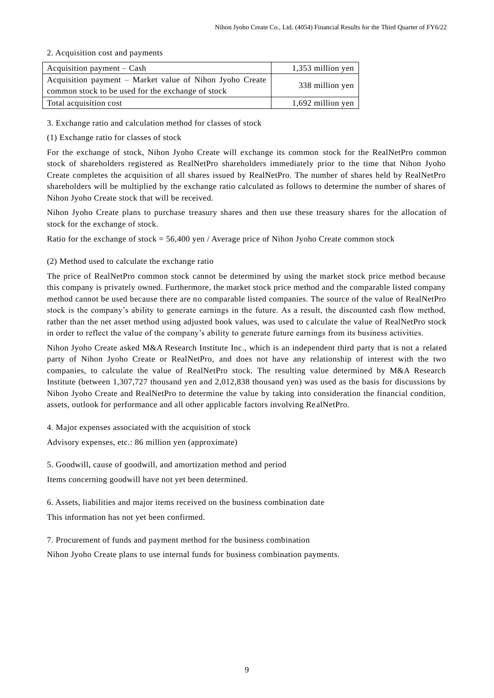### 2. Acquisition cost and payments

| Acquisition payment $-$ Cash                                                                                  | $1,353$ million yen |
|---------------------------------------------------------------------------------------------------------------|---------------------|
| Acquisition payment – Market value of Nihon Jyoho Create<br>common stock to be used for the exchange of stock | 338 million yen     |
| Total acquisition cost                                                                                        | 1,692 million yen   |

3. Exchange ratio and calculation method for classes of stock

(1) Exchange ratio for classes of stock

For the exchange of stock, Nihon Jyoho Create will exchange its common stock for the RealNetPro common stock of shareholders registered as RealNetPro shareholders immediately prior to the time that Nihon Jyoho Create completes the acquisition of all shares issued by RealNetPro. The number of shares held by RealNetPro shareholders will be multiplied by the exchange ratio calculated as follows to determine the number of shares of Nihon Jyoho Create stock that will be received.

Nihon Jyoho Create plans to purchase treasury shares and then use these treasury shares for the allocation of stock for the exchange of stock.

Ratio for the exchange of stock = 56,400 yen / Average price of Nihon Jyoho Create common stock

## (2) Method used to calculate the exchange ratio

The price of RealNetPro common stock cannot be determined by using the market stock price method because this company is privately owned. Furthermore, the market stock price method and the comparable listed company method cannot be used because there are no comparable listed companies. The source of the value of RealNetPro stock is the company's ability to generate earnings in the future. As a result, the discounted cash flow method, rather than the net asset method using adjusted book values, was used to calculate the value of RealNetPro stock in order to reflect the value of the company's ability to generate future earnings from its business activities.

Nihon Jyoho Create asked M&A Research Institute Inc., which is an independent third party that is not a related party of Nihon Jyoho Create or RealNetPro, and does not have any relationship of interest with the two companies, to calculate the value of RealNetPro stock. The resulting value determined by M&A Research Institute (between 1,307,727 thousand yen and 2,012,838 thousand yen) was used as the basis for discussions by Nihon Jyoho Create and RealNetPro to determine the value by taking into consideration the financial condition, assets, outlook for performance and all other applicable factors involving Re alNetPro.

4. Major expenses associated with the acquisition of stock

Advisory expenses, etc.: 86 million yen (approximate)

5. Goodwill, cause of goodwill, and amortization method and period

Items concerning goodwill have not yet been determined.

6. Assets, liabilities and major items received on the business combination date This information has not yet been confirmed.

7. Procurement of funds and payment method for the business combination

Nihon Jyoho Create plans to use internal funds for business combination payments.